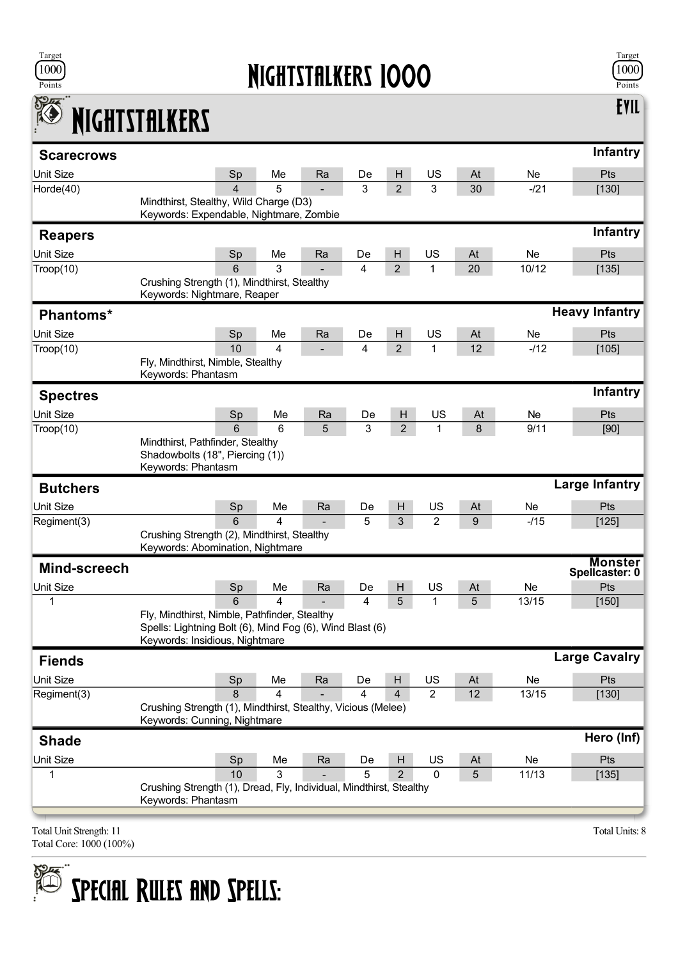

## Nightstalkers 1000



Evil

## K NIGHTSTALKERS

| <b>Scarecrows</b>       |                                                                                            |                |         |    |    |                |                      |         |        | <b>Infantry</b>                  |  |
|-------------------------|--------------------------------------------------------------------------------------------|----------------|---------|----|----|----------------|----------------------|---------|--------|----------------------------------|--|
| Unit Size               |                                                                                            | Sp             | Me      | Ra | De | H              | US                   | At      | Ne     | Pts                              |  |
| Horde(40)               |                                                                                            | $\overline{4}$ | 5       |    | 3  | $\overline{2}$ | 3                    | 30      | $-121$ | [130]                            |  |
|                         | Mindthirst, Stealthy, Wild Charge (D3)<br>Keywords: Expendable, Nightmare, Zombie          |                |         |    |    |                |                      |         |        |                                  |  |
|                         |                                                                                            |                |         |    |    |                |                      |         |        | Infantry                         |  |
| <b>Reapers</b>          |                                                                                            |                |         |    |    |                |                      |         |        |                                  |  |
| Unit Size               |                                                                                            | Sp             | Me      | Ra | De | н              | US                   | At      | Ne     | Pts                              |  |
| Trop(10)                |                                                                                            | 6              | 3       |    | 4  | $\overline{2}$ | $\mathbf{1}$         | 20      | 10/12  | [135]                            |  |
|                         | Crushing Strength (1), Mindthirst, Stealthy<br>Keywords: Nightmare, Reaper                 |                |         |    |    |                |                      |         |        |                                  |  |
| <b>Phantoms*</b>        |                                                                                            |                |         |    |    |                |                      |         |        | <b>Heavy Infantry</b>            |  |
| Unit Size               |                                                                                            | Sp             | Me      | Ra | De | H              | US                   | At      | Ne     | Pts                              |  |
| Troop(10)               |                                                                                            | 10             | 4       |    | 4  | $\overline{2}$ | 1                    | 12      | $-112$ | [105]                            |  |
|                         | Fly, Mindthirst, Nimble, Stealthy                                                          |                |         |    |    |                |                      |         |        |                                  |  |
|                         | Keywords: Phantasm                                                                         |                |         |    |    |                |                      |         |        |                                  |  |
| <b>Spectres</b>         |                                                                                            |                |         |    |    |                |                      |         |        | Infantry                         |  |
| Unit Size               |                                                                                            | Sp             | Me      | Ra | De | H              | US                   | At      | Ne.    | Pts                              |  |
| Trop(10)                |                                                                                            | 6              | 6       | 5  | 3  | $\overline{2}$ | 1                    | 8       | 9/11   | [90]                             |  |
|                         | Mindthirst, Pathfinder, Stealthy                                                           |                |         |    |    |                |                      |         |        |                                  |  |
|                         | Shadowbolts (18", Piercing (1))<br>Keywords: Phantasm                                      |                |         |    |    |                |                      |         |        |                                  |  |
| <b>Butchers</b>         |                                                                                            |                |         |    |    |                |                      |         |        | <b>Large Infantry</b>            |  |
| Unit Size               |                                                                                            |                |         |    | De | H              |                      |         | Ne     | Pts                              |  |
| Regiment(3)             |                                                                                            | Sp<br>6        | Me<br>4 | Ra | 5  | 3              | US<br>$\overline{2}$ | At<br>9 | $-115$ | $[125]$                          |  |
|                         | Crushing Strength (2), Mindthirst, Stealthy                                                |                |         |    |    |                |                      |         |        |                                  |  |
|                         | Keywords: Abomination, Nightmare                                                           |                |         |    |    |                |                      |         |        |                                  |  |
| Mind-screech            |                                                                                            |                |         |    |    |                |                      |         |        | <b>Monster</b><br>Spellcaster: 0 |  |
| <b>Unit Size</b>        |                                                                                            | Sp             | Me      | Ra | De | H              | US                   | At      | Ne     | Pts                              |  |
| 1                       |                                                                                            | 6              | 4       |    | 4  | 5              | 1                    | 5       | 13/15  | [150]                            |  |
|                         | Fly, Mindthirst, Nimble, Pathfinder, Stealthy                                              |                |         |    |    |                |                      |         |        |                                  |  |
|                         | Spells: Lightning Bolt (6), Mind Fog (6), Wind Blast (6)<br>Keywords: Insidious, Nightmare |                |         |    |    |                |                      |         |        |                                  |  |
|                         |                                                                                            |                |         |    |    |                |                      |         |        | <b>Large Cavalry</b>             |  |
| <b>Fiends</b>           |                                                                                            |                |         |    |    |                |                      |         |        |                                  |  |
| Unit Size               |                                                                                            | Sp             | Me      | Ra | De | Н              | US                   | At      | Ne     | Pts                              |  |
| Regiment(3)             | Crushing Strength (1), Mindthirst, Stealthy, Vicious (Melee)                               | $\mathsf{R}$   | 4       |    | 4  | $\overline{4}$ | $\overline{2}$       | 12      | 13/15  | $[130]$                          |  |
|                         | Keywords: Cunning, Nightmare                                                               |                |         |    |    |                |                      |         |        |                                  |  |
| <b>Shade</b>            |                                                                                            |                |         |    |    |                |                      |         |        | Hero (Inf)                       |  |
| Unit Size               |                                                                                            | Sp             | Me      | Ra | De | H              | US                   | At      | Ne     | Pts                              |  |
| 1                       |                                                                                            | 10             | 3       |    | 5  | $\overline{2}$ | $\mathbf 0$          | 5       | 11/13  | $[135]$                          |  |
|                         | Crushing Strength (1), Dread, Fly, Individual, Mindthirst, Stealthy                        |                |         |    |    |                |                      |         |        |                                  |  |
|                         | Keywords: Phantasm                                                                         |                |         |    |    |                |                      |         |        |                                  |  |
| Total Unit Strength: 11 |                                                                                            |                |         |    |    |                |                      |         |        | Total Units: 8                   |  |
|                         |                                                                                            |                |         |    |    |                |                      |         |        |                                  |  |

Total Core: 1000 (100%)